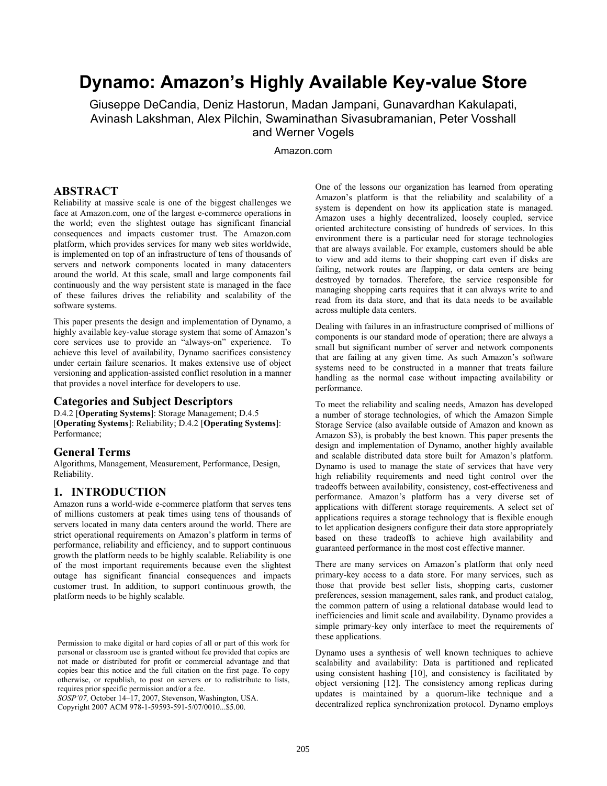# **Dynamo: Amazon's Highly Available Key-value Store**

Giuseppe DeCandia, Deniz Hastorun, Madan Jampani, Gunavardhan Kakulapati, Avinash Lakshman, Alex Pilchin, Swaminathan Sivasubramanian, Peter Vosshall and Werner Vogels

Amazon.com

### **ABSTRACT**

Reliability at massive scale is one of the biggest challenges we face at Amazon.com, one of the largest e-commerce operations in the world; even the slightest outage has significant financial consequences and impacts customer trust. The Amazon.com platform, which provides services for many web sites worldwide, is implemented on top of an infrastructure of tens of thousands of servers and network components located in many datacenters around the world. At this scale, small and large components fail continuously and the way persistent state is managed in the face of these failures drives the reliability and scalability of the software systems.

This paper presents the design and implementation of Dynamo, a highly available key-value storage system that some of Amazon's core services use to provide an "always-on" experience. To achieve this level of availability, Dynamo sacrifices consistency under certain failure scenarios. It makes extensive use of object versioning and application-assisted conflict resolution in a manner that provides a novel interface for developers to use.

#### **Categories and Subject Descriptors**

D.4.2 [**Operating Systems**]: Storage Management; D.4.5 [**Operating Systems**]: Reliability; D.4.2 [**Operating Systems**]: Performance;

### **General Terms**

Algorithms, Management, Measurement, Performance, Design, Reliability.

#### **1. INTRODUCTION**

Amazon runs a world-wide e-commerce platform that serves tens of millions customers at peak times using tens of thousands of servers located in many data centers around the world. There are strict operational requirements on Amazon's platform in terms of performance, reliability and efficiency, and to support continuous growth the platform needs to be highly scalable. Reliability is one of the most important requirements because even the slightest outage has significant financial consequences and impacts customer trust. In addition, to support continuous growth, the platform needs to be highly scalable.

*SOSP'07,* October 14–17, 2007, Stevenson, Washington, USA.

Copyright 2007 ACM 978-1-59593-591-5/07/0010...\$5.00.

One of the lessons our organization has learned from operating Amazon's platform is that the reliability and scalability of a system is dependent on how its application state is managed. Amazon uses a highly decentralized, loosely coupled, service oriented architecture consisting of hundreds of services. In this environment there is a particular need for storage technologies that are always available. For example, customers should be able to view and add items to their shopping cart even if disks are failing, network routes are flapping, or data centers are being destroyed by tornados. Therefore, the service responsible for managing shopping carts requires that it can always write to and read from its data store, and that its data needs to be available across multiple data centers.

Dealing with failures in an infrastructure comprised of millions of components is our standard mode of operation; there are always a small but significant number of server and network components that are failing at any given time. As such Amazon's software systems need to be constructed in a manner that treats failure handling as the normal case without impacting availability or performance.

To meet the reliability and scaling needs, Amazon has developed a number of storage technologies, of which the Amazon Simple Storage Service (also available outside of Amazon and known as Amazon S3), is probably the best known. This paper presents the design and implementation of Dynamo, another highly available and scalable distributed data store built for Amazon's platform. Dynamo is used to manage the state of services that have very high reliability requirements and need tight control over the tradeoffs between availability, consistency, cost-effectiveness and performance. Amazon's platform has a very diverse set of applications with different storage requirements. A select set of applications requires a storage technology that is flexible enough to let application designers configure their data store appropriately based on these tradeoffs to achieve high availability and guaranteed performance in the most cost effective manner.

There are many services on Amazon's platform that only need primary-key access to a data store. For many services, such as those that provide best seller lists, shopping carts, customer preferences, session management, sales rank, and product catalog, the common pattern of using a relational database would lead to inefficiencies and limit scale and availability. Dynamo provides a simple primary-key only interface to meet the requirements of these applications.

Dynamo uses a synthesis of well known techniques to achieve scalability and availability: Data is partitioned and replicated using consistent hashing [10], and consistency is facilitated by object versioning [12]. The consistency among replicas during updates is maintained by a quorum-like technique and a decentralized replica synchronization protocol. Dynamo employs

Permission to make digital or hard copies of all or part of this work for personal or classroom use is granted without fee provided that copies are not made or distributed for profit or commercial advantage and that copies bear this notice and the full citation on the first page. To copy otherwise, or republish, to post on servers or to redistribute to lists, requires prior specific permission and/or a fee.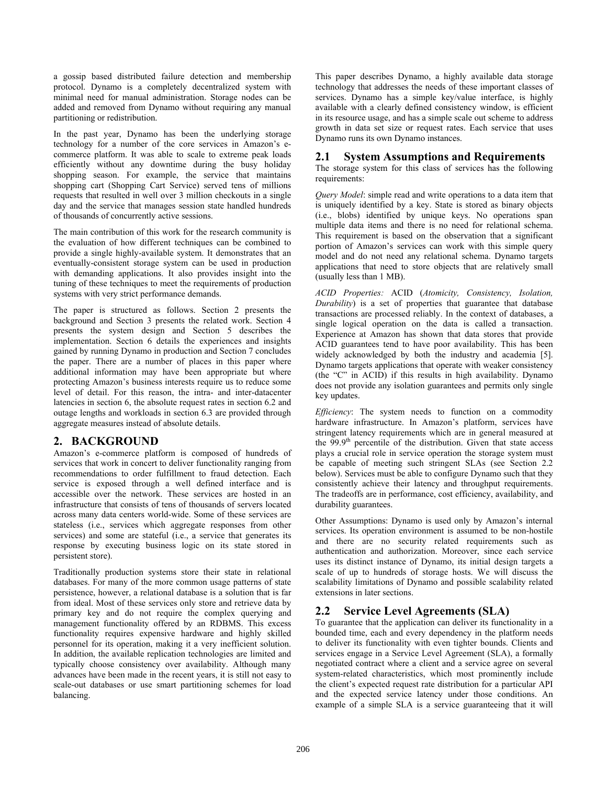a gossip based distributed failure detection and membership protocol. Dynamo is a completely decentralized system with minimal need for manual administration. Storage nodes can be added and removed from Dynamo without requiring any manual partitioning or redistribution.

In the past year, Dynamo has been the underlying storage technology for a number of the core services in Amazon's ecommerce platform. It was able to scale to extreme peak loads efficiently without any downtime during the busy holiday shopping season. For example, the service that maintains shopping cart (Shopping Cart Service) served tens of millions requests that resulted in well over 3 million checkouts in a single day and the service that manages session state handled hundreds of thousands of concurrently active sessions.

The main contribution of this work for the research community is the evaluation of how different techniques can be combined to provide a single highly-available system. It demonstrates that an eventually-consistent storage system can be used in production with demanding applications. It also provides insight into the tuning of these techniques to meet the requirements of production systems with very strict performance demands.

The paper is structured as follows. Section 2 presents the background and Section 3 presents the related work. Section 4 presents the system design and Section 5 describes the implementation. Section 6 details the experiences and insights gained by running Dynamo in production and Section 7 concludes the paper. There are a number of places in this paper where additional information may have been appropriate but where protecting Amazon's business interests require us to reduce some level of detail. For this reason, the intra- and inter-datacenter latencies in section 6, the absolute request rates in section 6.2 and outage lengths and workloads in section 6.3 are provided through aggregate measures instead of absolute details.

### **2. BACKGROUND**

Amazon's e-commerce platform is composed of hundreds of services that work in concert to deliver functionality ranging from recommendations to order fulfillment to fraud detection. Each service is exposed through a well defined interface and is accessible over the network. These services are hosted in an infrastructure that consists of tens of thousands of servers located across many data centers world-wide. Some of these services are stateless (i.e., services which aggregate responses from other services) and some are stateful (i.e., a service that generates its response by executing business logic on its state stored in persistent store).

Traditionally production systems store their state in relational databases. For many of the more common usage patterns of state persistence, however, a relational database is a solution that is far from ideal. Most of these services only store and retrieve data by primary key and do not require the complex querying and management functionality offered by an RDBMS. This excess functionality requires expensive hardware and highly skilled personnel for its operation, making it a very inefficient solution. In addition, the available replication technologies are limited and typically choose consistency over availability. Although many advances have been made in the recent years, it is still not easy to scale-out databases or use smart partitioning schemes for load balancing.

This paper describes Dynamo, a highly available data storage technology that addresses the needs of these important classes of services. Dynamo has a simple key/value interface, is highly available with a clearly defined consistency window, is efficient in its resource usage, and has a simple scale out scheme to address growth in data set size or request rates. Each service that uses Dynamo runs its own Dynamo instances.

# **2.1 System Assumptions and Requirements**

The storage system for this class of services has the following requirements:

*Query Model*: simple read and write operations to a data item that is uniquely identified by a key. State is stored as binary objects (i.e., blobs) identified by unique keys. No operations span multiple data items and there is no need for relational schema. This requirement is based on the observation that a significant portion of Amazon's services can work with this simple query model and do not need any relational schema. Dynamo targets applications that need to store objects that are relatively small (usually less than 1 MB).

*ACID Properties:* ACID (*Atomicity, Consistency, Isolation, Durability*) is a set of properties that guarantee that database transactions are processed reliably. In the context of databases, a single logical operation on the data is called a transaction. Experience at Amazon has shown that data stores that provide ACID guarantees tend to have poor availability. This has been widely acknowledged by both the industry and academia [5]. Dynamo targets applications that operate with weaker consistency (the "C" in ACID) if this results in high availability. Dynamo does not provide any isolation guarantees and permits only single key updates.

*Efficiency*: The system needs to function on a commodity hardware infrastructure. In Amazon's platform, services have stringent latency requirements which are in general measured at the  $99.9<sup>th</sup>$  percentile of the distribution. Given that state access plays a crucial role in service operation the storage system must be capable of meeting such stringent SLAs (see Section 2.2 below). Services must be able to configure Dynamo such that they consistently achieve their latency and throughput requirements. The tradeoffs are in performance, cost efficiency, availability, and durability guarantees.

Other Assumptions: Dynamo is used only by Amazon's internal services. Its operation environment is assumed to be non-hostile and there are no security related requirements such as authentication and authorization. Moreover, since each service uses its distinct instance of Dynamo, its initial design targets a scale of up to hundreds of storage hosts. We will discuss the scalability limitations of Dynamo and possible scalability related extensions in later sections.

# **2.2 Service Level Agreements (SLA)**

To guarantee that the application can deliver its functionality in a bounded time, each and every dependency in the platform needs to deliver its functionality with even tighter bounds. Clients and services engage in a Service Level Agreement (SLA), a formally negotiated contract where a client and a service agree on several system-related characteristics, which most prominently include the client's expected request rate distribution for a particular API and the expected service latency under those conditions. An example of a simple SLA is a service guaranteeing that it will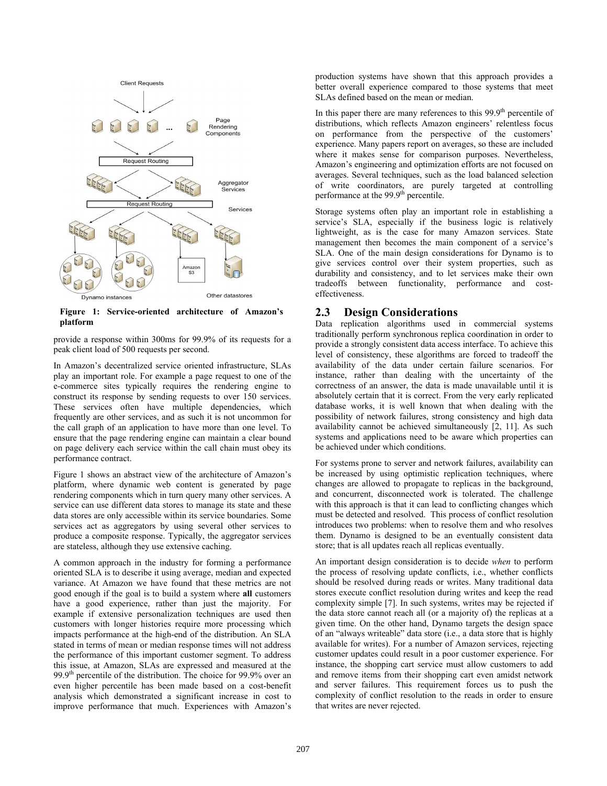

**Figure 1: Service-oriented architecture of Amazon's platform** 

provide a response within 300ms for 99.9% of its requests for a peak client load of 500 requests per second.

In Amazon's decentralized service oriented infrastructure, SLAs play an important role. For example a page request to one of the e-commerce sites typically requires the rendering engine to construct its response by sending requests to over 150 services. These services often have multiple dependencies, which frequently are other services, and as such it is not uncommon for the call graph of an application to have more than one level. To ensure that the page rendering engine can maintain a clear bound on page delivery each service within the call chain must obey its performance contract.

Figure 1 shows an abstract view of the architecture of Amazon's platform, where dynamic web content is generated by page rendering components which in turn query many other services. A service can use different data stores to manage its state and these data stores are only accessible within its service boundaries. Some services act as aggregators by using several other services to produce a composite response. Typically, the aggregator services are stateless, although they use extensive caching.

A common approach in the industry for forming a performance oriented SLA is to describe it using average, median and expected variance. At Amazon we have found that these metrics are not good enough if the goal is to build a system where **all** customers have a good experience, rather than just the majority. For example if extensive personalization techniques are used then customers with longer histories require more processing which impacts performance at the high-end of the distribution. An SLA stated in terms of mean or median response times will not address the performance of this important customer segment. To address this issue, at Amazon, SLAs are expressed and measured at the 99.9th percentile of the distribution. The choice for 99.9% over an even higher percentile has been made based on a cost-benefit analysis which demonstrated a significant increase in cost to improve performance that much. Experiences with Amazon's

production systems have shown that this approach provides a better overall experience compared to those systems that meet SLAs defined based on the mean or median.

In this paper there are many references to this  $99.9<sup>th</sup>$  percentile of distributions, which reflects Amazon engineers' relentless focus on performance from the perspective of the customers' experience. Many papers report on averages, so these are included where it makes sense for comparison purposes. Nevertheless, Amazon's engineering and optimization efforts are not focused on averages. Several techniques, such as the load balanced selection of write coordinators, are purely targeted at controlling performance at the 99.9<sup>th</sup> percentile.

Storage systems often play an important role in establishing a service's SLA, especially if the business logic is relatively lightweight, as is the case for many Amazon services. State management then becomes the main component of a service's SLA. One of the main design considerations for Dynamo is to give services control over their system properties, such as durability and consistency, and to let services make their own tradeoffs between functionality, performance and costeffectiveness.

#### **2.3 Design Considerations**

Data replication algorithms used in commercial systems traditionally perform synchronous replica coordination in order to provide a strongly consistent data access interface. To achieve this level of consistency, these algorithms are forced to tradeoff the availability of the data under certain failure scenarios. For instance, rather than dealing with the uncertainty of the correctness of an answer, the data is made unavailable until it is absolutely certain that it is correct. From the very early replicated database works, it is well known that when dealing with the possibility of network failures, strong consistency and high data availability cannot be achieved simultaneously [2, 11]. As such systems and applications need to be aware which properties can be achieved under which conditions.

For systems prone to server and network failures, availability can be increased by using optimistic replication techniques, where changes are allowed to propagate to replicas in the background, and concurrent, disconnected work is tolerated. The challenge with this approach is that it can lead to conflicting changes which must be detected and resolved. This process of conflict resolution introduces two problems: when to resolve them and who resolves them. Dynamo is designed to be an eventually consistent data store; that is all updates reach all replicas eventually.

An important design consideration is to decide *when* to perform the process of resolving update conflicts, i.e., whether conflicts should be resolved during reads or writes. Many traditional data stores execute conflict resolution during writes and keep the read complexity simple [7]. In such systems, writes may be rejected if the data store cannot reach all (or a majority of) the replicas at a given time. On the other hand, Dynamo targets the design space of an "always writeable" data store (i.e., a data store that is highly available for writes). For a number of Amazon services, rejecting customer updates could result in a poor customer experience. For instance, the shopping cart service must allow customers to add and remove items from their shopping cart even amidst network and server failures. This requirement forces us to push the complexity of conflict resolution to the reads in order to ensure that writes are never rejected.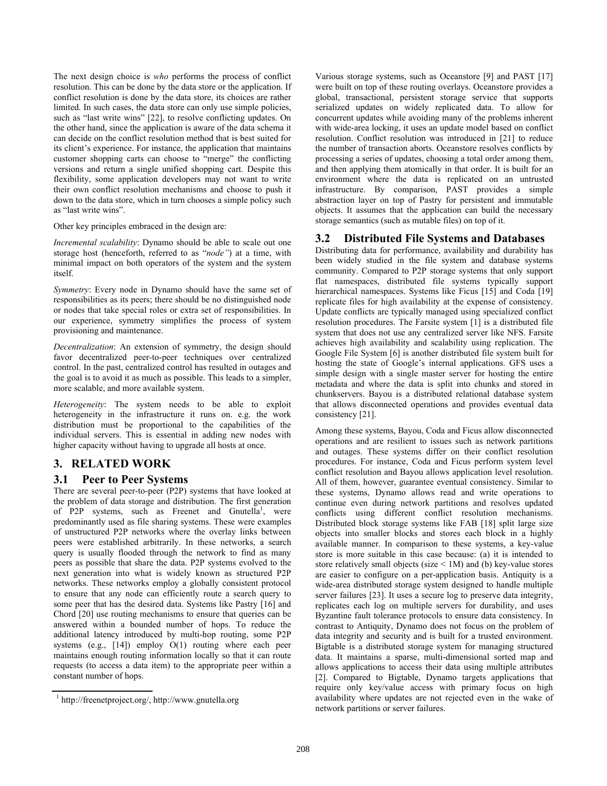The next design choice is *who* performs the process of conflict resolution. This can be done by the data store or the application. If conflict resolution is done by the data store, its choices are rather limited. In such cases, the data store can only use simple policies, such as "last write wins" [22], to resolve conflicting updates. On the other hand, since the application is aware of the data schema it can decide on the conflict resolution method that is best suited for its client's experience. For instance, the application that maintains customer shopping carts can choose to "merge" the conflicting versions and return a single unified shopping cart. Despite this flexibility, some application developers may not want to write their own conflict resolution mechanisms and choose to push it down to the data store, which in turn chooses a simple policy such as "last write wins".

Other key principles embraced in the design are:

*Incremental scalability*: Dynamo should be able to scale out one storage host (henceforth, referred to as "*node"*) at a time, with minimal impact on both operators of the system and the system itself.

*Symmetry*: Every node in Dynamo should have the same set of responsibilities as its peers; there should be no distinguished node or nodes that take special roles or extra set of responsibilities. In our experience, symmetry simplifies the process of system provisioning and maintenance.

*Decentralization*: An extension of symmetry, the design should favor decentralized peer-to-peer techniques over centralized control. In the past, centralized control has resulted in outages and the goal is to avoid it as much as possible. This leads to a simpler, more scalable, and more available system.

*Heterogeneity*: The system needs to be able to exploit heterogeneity in the infrastructure it runs on. e.g. the work distribution must be proportional to the capabilities of the individual servers. This is essential in adding new nodes with higher capacity without having to upgrade all hosts at once.

### **3. RELATED WORK**

#### **3.1 Peer to Peer Systems**

There are several peer-to-peer (P2P) systems that have looked at the problem of data storage and distribution. The first generation of  $P2P$  systems, such as Freenet and Gnutella<sup>1</sup>, were predominantly used as file sharing systems. These were examples of unstructured P2P networks where the overlay links between peers were established arbitrarily. In these networks, a search query is usually flooded through the network to find as many peers as possible that share the data. P2P systems evolved to the next generation into what is widely known as structured P2P networks. These networks employ a globally consistent protocol to ensure that any node can efficiently route a search query to some peer that has the desired data. Systems like Pastry [16] and Chord [20] use routing mechanisms to ensure that queries can be answered within a bounded number of hops. To reduce the additional latency introduced by multi-hop routing, some P2P systems (e.g.,  $[14]$ ) employ  $O(1)$  routing where each peer maintains enough routing information locally so that it can route requests (to access a data item) to the appropriate peer within a constant number of hops.

Various storage systems, such as Oceanstore [9] and PAST [17] were built on top of these routing overlays. Oceanstore provides a global, transactional, persistent storage service that supports serialized updates on widely replicated data. To allow for concurrent updates while avoiding many of the problems inherent with wide-area locking, it uses an update model based on conflict resolution. Conflict resolution was introduced in [21] to reduce the number of transaction aborts. Oceanstore resolves conflicts by processing a series of updates, choosing a total order among them, and then applying them atomically in that order. It is built for an environment where the data is replicated on an untrusted infrastructure. By comparison, PAST provides a simple abstraction layer on top of Pastry for persistent and immutable objects. It assumes that the application can build the necessary storage semantics (such as mutable files) on top of it.

#### **3.2 Distributed File Systems and Databases**

Distributing data for performance, availability and durability has been widely studied in the file system and database systems community. Compared to P2P storage systems that only support flat namespaces, distributed file systems typically support hierarchical namespaces. Systems like Ficus [15] and Coda [19] replicate files for high availability at the expense of consistency. Update conflicts are typically managed using specialized conflict resolution procedures. The Farsite system [1] is a distributed file system that does not use any centralized server like NFS. Farsite achieves high availability and scalability using replication. The Google File System [6] is another distributed file system built for hosting the state of Google's internal applications. GFS uses a simple design with a single master server for hosting the entire metadata and where the data is split into chunks and stored in chunkservers. Bayou is a distributed relational database system that allows disconnected operations and provides eventual data consistency [21].

Among these systems, Bayou, Coda and Ficus allow disconnected operations and are resilient to issues such as network partitions and outages. These systems differ on their conflict resolution procedures. For instance, Coda and Ficus perform system level conflict resolution and Bayou allows application level resolution. All of them, however, guarantee eventual consistency. Similar to these systems, Dynamo allows read and write operations to continue even during network partitions and resolves updated conflicts using different conflict resolution mechanisms. Distributed block storage systems like FAB [18] split large size objects into smaller blocks and stores each block in a highly available manner. In comparison to these systems, a key-value store is more suitable in this case because: (a) it is intended to store relatively small objects (size  $\leq 1$ M) and (b) key-value stores are easier to configure on a per-application basis. Antiquity is a wide-area distributed storage system designed to handle multiple server failures [23]. It uses a secure log to preserve data integrity, replicates each log on multiple servers for durability, and uses Byzantine fault tolerance protocols to ensure data consistency. In contrast to Antiquity, Dynamo does not focus on the problem of data integrity and security and is built for a trusted environment. Bigtable is a distributed storage system for managing structured data. It maintains a sparse, multi-dimensional sorted map and allows applications to access their data using multiple attributes [2]. Compared to Bigtable, Dynamo targets applications that require only key/value access with primary focus on high availability where updates are not rejected even in the wake of network partitions or server failures.

<sup>1</sup> http://freenetproject.org/, http://www.gnutella.org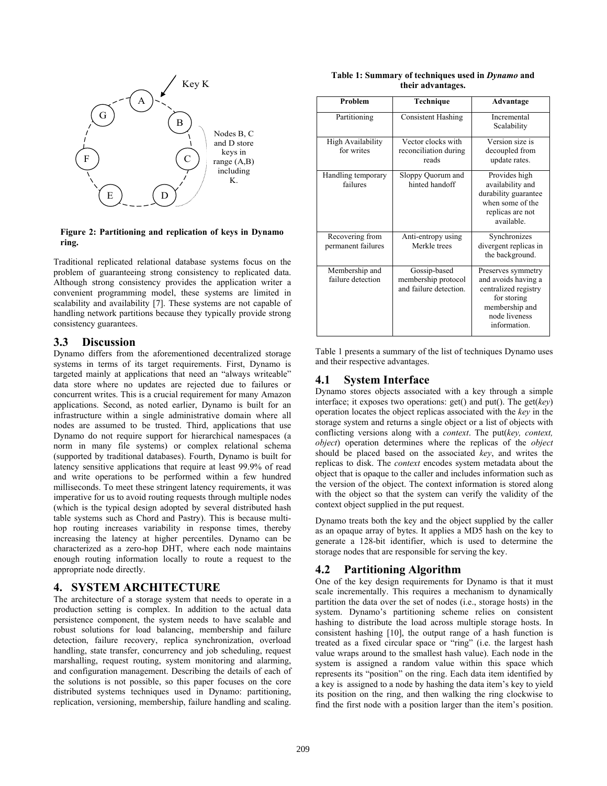

#### **Figure 2: Partitioning and replication of keys in Dynamo ring.**

Traditional replicated relational database systems focus on the problem of guaranteeing strong consistency to replicated data. Although strong consistency provides the application writer a convenient programming model, these systems are limited in scalability and availability [7]. These systems are not capable of handling network partitions because they typically provide strong consistency guarantees.

### **3.3 Discussion**

Dynamo differs from the aforementioned decentralized storage systems in terms of its target requirements. First, Dynamo is targeted mainly at applications that need an "always writeable" data store where no updates are rejected due to failures or concurrent writes. This is a crucial requirement for many Amazon applications. Second, as noted earlier, Dynamo is built for an infrastructure within a single administrative domain where all nodes are assumed to be trusted. Third, applications that use Dynamo do not require support for hierarchical namespaces (a norm in many file systems) or complex relational schema (supported by traditional databases). Fourth, Dynamo is built for latency sensitive applications that require at least 99.9% of read and write operations to be performed within a few hundred milliseconds. To meet these stringent latency requirements, it was imperative for us to avoid routing requests through multiple nodes (which is the typical design adopted by several distributed hash table systems such as Chord and Pastry). This is because multihop routing increases variability in response times, thereby increasing the latency at higher percentiles. Dynamo can be characterized as a zero-hop DHT, where each node maintains enough routing information locally to route a request to the appropriate node directly.

# **4. SYSTEM ARCHITECTURE**

The architecture of a storage system that needs to operate in a production setting is complex. In addition to the actual data persistence component, the system needs to have scalable and robust solutions for load balancing, membership and failure detection, failure recovery, replica synchronization, overload handling, state transfer, concurrency and job scheduling, request marshalling, request routing, system monitoring and alarming, and configuration management. Describing the details of each of the solutions is not possible, so this paper focuses on the core distributed systems techniques used in Dynamo: partitioning, replication, versioning, membership, failure handling and scaling.

| Table 1: Summary of techniques used in Dynamo and |
|---------------------------------------------------|
| their advantages.                                 |

| <b>Problem</b>                         | Technique                                                     | Advantage                                                                                                                           |  |
|----------------------------------------|---------------------------------------------------------------|-------------------------------------------------------------------------------------------------------------------------------------|--|
| Partitioning                           | <b>Consistent Hashing</b>                                     | Incremental<br>Scalability                                                                                                          |  |
| <b>High Availability</b><br>for writes | Vector clocks with<br>reconciliation during<br>reads          | Version size is<br>decoupled from<br>update rates.                                                                                  |  |
| Handling temporary<br>failures         | Sloppy Quorum and<br>hinted handoff                           | Provides high<br>availability and<br>durability guarantee<br>when some of the<br>replicas are not<br>available.                     |  |
| Recovering from<br>permanent failures  | Anti-entropy using<br>Merkle trees                            | Synchronizes<br>divergent replicas in<br>the background.                                                                            |  |
| Membership and<br>failure detection    | Gossip-based<br>membership protocol<br>and failure detection. | Preserves symmetry<br>and avoids having a<br>centralized registry<br>for storing<br>membership and<br>node liveness<br>information. |  |

Table 1 presents a summary of the list of techniques Dynamo uses and their respective advantages.

# **4.1 System Interface**

Dynamo stores objects associated with a key through a simple interface; it exposes two operations: get() and put(). The get(*key*) operation locates the object replicas associated with the *key* in the storage system and returns a single object or a list of objects with conflicting versions along with a *context*. The put(*key, context, object*) operation determines where the replicas of the *object*  should be placed based on the associated *key*, and writes the replicas to disk. The *context* encodes system metadata about the object that is opaque to the caller and includes information such as the version of the object. The context information is stored along with the object so that the system can verify the validity of the context object supplied in the put request.

Dynamo treats both the key and the object supplied by the caller as an opaque array of bytes. It applies a MD5 hash on the key to generate a 128-bit identifier, which is used to determine the storage nodes that are responsible for serving the key.

# **4.2 Partitioning Algorithm**

One of the key design requirements for Dynamo is that it must scale incrementally. This requires a mechanism to dynamically partition the data over the set of nodes (i.e., storage hosts) in the system. Dynamo's partitioning scheme relies on consistent hashing to distribute the load across multiple storage hosts. In consistent hashing [10], the output range of a hash function is treated as a fixed circular space or "ring" (i.e. the largest hash value wraps around to the smallest hash value). Each node in the system is assigned a random value within this space which represents its "position" on the ring. Each data item identified by a key is assigned to a node by hashing the data item's key to yield its position on the ring, and then walking the ring clockwise to find the first node with a position larger than the item's position.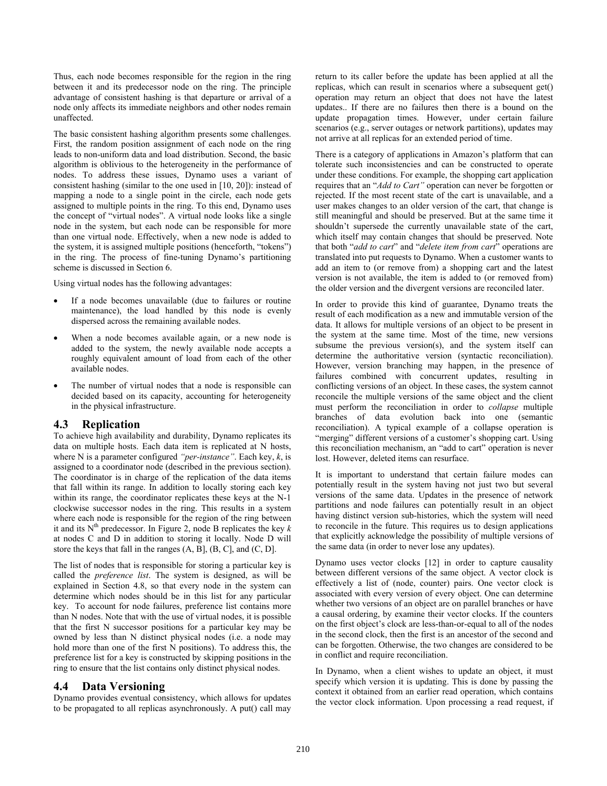Thus, each node becomes responsible for the region in the ring between it and its predecessor node on the ring. The principle advantage of consistent hashing is that departure or arrival of a node only affects its immediate neighbors and other nodes remain unaffected.

The basic consistent hashing algorithm presents some challenges. First, the random position assignment of each node on the ring leads to non-uniform data and load distribution. Second, the basic algorithm is oblivious to the heterogeneity in the performance of nodes. To address these issues, Dynamo uses a variant of consistent hashing (similar to the one used in [10, 20]): instead of mapping a node to a single point in the circle, each node gets assigned to multiple points in the ring. To this end, Dynamo uses the concept of "virtual nodes". A virtual node looks like a single node in the system, but each node can be responsible for more than one virtual node. Effectively, when a new node is added to the system, it is assigned multiple positions (henceforth, "tokens") in the ring. The process of fine-tuning Dynamo's partitioning scheme is discussed in Section 6.

Using virtual nodes has the following advantages:

- If a node becomes unavailable (due to failures or routine maintenance), the load handled by this node is evenly dispersed across the remaining available nodes.
- When a node becomes available again, or a new node is added to the system, the newly available node accepts a roughly equivalent amount of load from each of the other available nodes.
- The number of virtual nodes that a node is responsible can decided based on its capacity, accounting for heterogeneity in the physical infrastructure.

### **4.3 Replication**

To achieve high availability and durability, Dynamo replicates its data on multiple hosts. Each data item is replicated at N hosts, where N is a parameter configured *"per-instance"*. Each key, *k*, is assigned to a coordinator node (described in the previous section). The coordinator is in charge of the replication of the data items that fall within its range. In addition to locally storing each key within its range, the coordinator replicates these keys at the N-1 clockwise successor nodes in the ring. This results in a system where each node is responsible for the region of the ring between it and its  $N<sup>th</sup>$  predecessor. In Figure 2, node B replicates the key  $k$ at nodes C and D in addition to storing it locally. Node D will store the keys that fall in the ranges (A, B], (B, C], and (C, D].

The list of nodes that is responsible for storing a particular key is called the *preference list*. The system is designed, as will be explained in Section 4.8, so that every node in the system can determine which nodes should be in this list for any particular key. To account for node failures, preference list contains more than N nodes. Note that with the use of virtual nodes, it is possible that the first N successor positions for a particular key may be owned by less than N distinct physical nodes (i.e. a node may hold more than one of the first N positions). To address this, the preference list for a key is constructed by skipping positions in the ring to ensure that the list contains only distinct physical nodes.

### **4.4 Data Versioning**

Dynamo provides eventual consistency, which allows for updates to be propagated to all replicas asynchronously. A put() call may

return to its caller before the update has been applied at all the replicas, which can result in scenarios where a subsequent get() operation may return an object that does not have the latest updates.. If there are no failures then there is a bound on the update propagation times. However, under certain failure scenarios (e.g., server outages or network partitions), updates may not arrive at all replicas for an extended period of time.

There is a category of applications in Amazon's platform that can tolerate such inconsistencies and can be constructed to operate under these conditions. For example, the shopping cart application requires that an "*Add to Cart"* operation can never be forgotten or rejected. If the most recent state of the cart is unavailable, and a user makes changes to an older version of the cart, that change is still meaningful and should be preserved. But at the same time it shouldn't supersede the currently unavailable state of the cart, which itself may contain changes that should be preserved. Note that both "*add to cart*" and "*delete item from cart*" operations are translated into put requests to Dynamo. When a customer wants to add an item to (or remove from) a shopping cart and the latest version is not available, the item is added to (or removed from) the older version and the divergent versions are reconciled later.

In order to provide this kind of guarantee, Dynamo treats the result of each modification as a new and immutable version of the data. It allows for multiple versions of an object to be present in the system at the same time. Most of the time, new versions subsume the previous version(s), and the system itself can determine the authoritative version (syntactic reconciliation). However, version branching may happen, in the presence of failures combined with concurrent updates, resulting in conflicting versions of an object. In these cases, the system cannot reconcile the multiple versions of the same object and the client must perform the reconciliation in order to *collapse* multiple branches of data evolution back into one (semantic reconciliation). A typical example of a collapse operation is "merging" different versions of a customer's shopping cart. Using this reconciliation mechanism, an "add to cart" operation is never lost. However, deleted items can resurface.

It is important to understand that certain failure modes can potentially result in the system having not just two but several versions of the same data. Updates in the presence of network partitions and node failures can potentially result in an object having distinct version sub-histories, which the system will need to reconcile in the future. This requires us to design applications that explicitly acknowledge the possibility of multiple versions of the same data (in order to never lose any updates).

Dynamo uses vector clocks [12] in order to capture causality between different versions of the same object. A vector clock is effectively a list of (node, counter) pairs. One vector clock is associated with every version of every object. One can determine whether two versions of an object are on parallel branches or have a causal ordering, by examine their vector clocks. If the counters on the first object's clock are less-than-or-equal to all of the nodes in the second clock, then the first is an ancestor of the second and can be forgotten. Otherwise, the two changes are considered to be in conflict and require reconciliation.

In Dynamo, when a client wishes to update an object, it must specify which version it is updating. This is done by passing the context it obtained from an earlier read operation, which contains the vector clock information. Upon processing a read request, if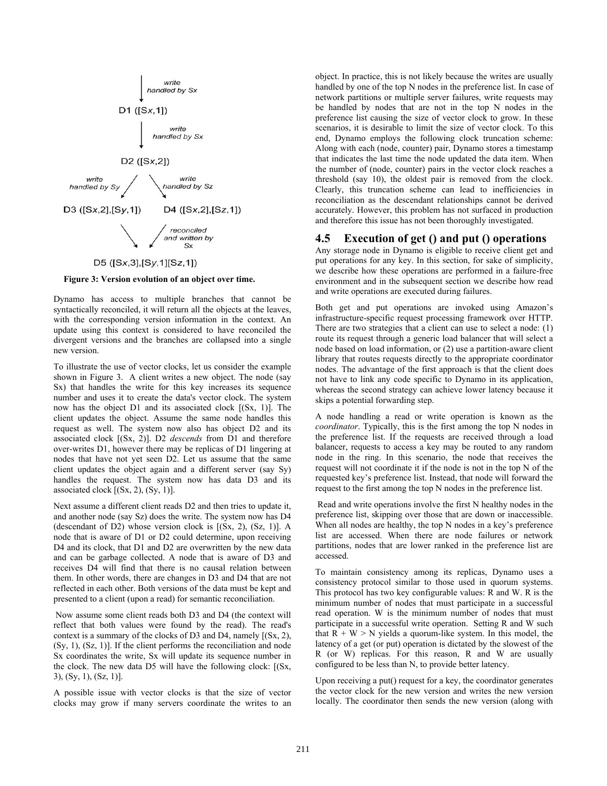

#### D5 ([Sx,3],[Sy,1][Sz,1])

#### **Figure 3: Version evolution of an object over time.**

Dynamo has access to multiple branches that cannot be syntactically reconciled, it will return all the objects at the leaves, with the corresponding version information in the context. An update using this context is considered to have reconciled the divergent versions and the branches are collapsed into a single new version.

To illustrate the use of vector clocks, let us consider the example shown in Figure 3. A client writes a new object. The node (say Sx) that handles the write for this key increases its sequence number and uses it to create the data's vector clock. The system now has the object D1 and its associated clock [(Sx, 1)]. The client updates the object. Assume the same node handles this request as well. The system now also has object D2 and its associated clock [(Sx, 2)]. D2 *descends* from D1 and therefore over-writes D1, however there may be replicas of D1 lingering at nodes that have not yet seen D2. Let us assume that the same client updates the object again and a different server (say Sy) handles the request. The system now has data D3 and its associated clock  $[(Sx, 2), (Sy, 1)].$ 

Next assume a different client reads D2 and then tries to update it, and another node (say Sz) does the write. The system now has D4 (descendant of D2) whose version clock is  $[(Sx, 2), (Sz, 1)]$ . A node that is aware of D1 or D2 could determine, upon receiving D4 and its clock, that D1 and D2 are overwritten by the new data and can be garbage collected. A node that is aware of D3 and receives D4 will find that there is no causal relation between them. In other words, there are changes in D3 and D4 that are not reflected in each other. Both versions of the data must be kept and presented to a client (upon a read) for semantic reconciliation.

 Now assume some client reads both D3 and D4 (the context will reflect that both values were found by the read). The read's context is a summary of the clocks of D3 and D4, namely [(Sx, 2), (Sy, 1), (Sz, 1)]. If the client performs the reconciliation and node Sx coordinates the write, Sx will update its sequence number in the clock. The new data D5 will have the following clock: [(Sx, 3), (Sy, 1), (Sz, 1)].

A possible issue with vector clocks is that the size of vector clocks may grow if many servers coordinate the writes to an

object. In practice, this is not likely because the writes are usually handled by one of the top N nodes in the preference list. In case of network partitions or multiple server failures, write requests may be handled by nodes that are not in the top N nodes in the preference list causing the size of vector clock to grow. In these scenarios, it is desirable to limit the size of vector clock. To this end, Dynamo employs the following clock truncation scheme: Along with each (node, counter) pair, Dynamo stores a timestamp that indicates the last time the node updated the data item. When the number of (node, counter) pairs in the vector clock reaches a threshold (say 10), the oldest pair is removed from the clock. Clearly, this truncation scheme can lead to inefficiencies in reconciliation as the descendant relationships cannot be derived accurately. However, this problem has not surfaced in production and therefore this issue has not been thoroughly investigated.

#### **4.5 Execution of get () and put () operations**

Any storage node in Dynamo is eligible to receive client get and put operations for any key. In this section, for sake of simplicity, we describe how these operations are performed in a failure-free environment and in the subsequent section we describe how read and write operations are executed during failures.

Both get and put operations are invoked using Amazon's infrastructure-specific request processing framework over HTTP. There are two strategies that a client can use to select a node: (1) route its request through a generic load balancer that will select a node based on load information, or (2) use a partition-aware client library that routes requests directly to the appropriate coordinator nodes. The advantage of the first approach is that the client does not have to link any code specific to Dynamo in its application, whereas the second strategy can achieve lower latency because it skips a potential forwarding step.

A node handling a read or write operation is known as the *coordinator*. Typically, this is the first among the top N nodes in the preference list. If the requests are received through a load balancer, requests to access a key may be routed to any random node in the ring. In this scenario, the node that receives the request will not coordinate it if the node is not in the top N of the requested key's preference list. Instead, that node will forward the request to the first among the top N nodes in the preference list.

 Read and write operations involve the first N healthy nodes in the preference list, skipping over those that are down or inaccessible. When all nodes are healthy, the top N nodes in a key's preference list are accessed. When there are node failures or network partitions, nodes that are lower ranked in the preference list are accessed.

To maintain consistency among its replicas, Dynamo uses a consistency protocol similar to those used in quorum systems. This protocol has two key configurable values: R and W. R is the minimum number of nodes that must participate in a successful read operation. W is the minimum number of nodes that must participate in a successful write operation. Setting R and W such that  $R + W > N$  yields a quorum-like system. In this model, the latency of a get (or put) operation is dictated by the slowest of the R (or W) replicas. For this reason, R and W are usually configured to be less than N, to provide better latency.

Upon receiving a put() request for a key, the coordinator generates the vector clock for the new version and writes the new version locally. The coordinator then sends the new version (along with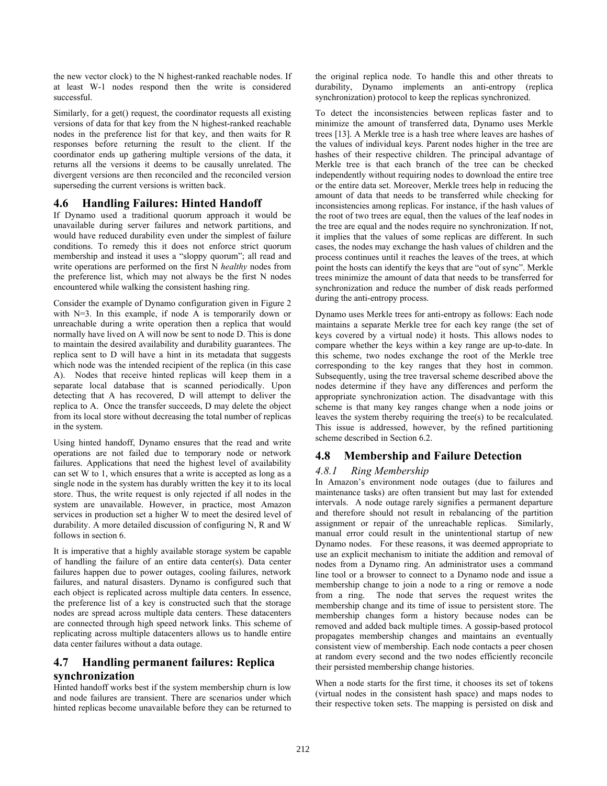the new vector clock) to the N highest-ranked reachable nodes. If at least W-1 nodes respond then the write is considered successful.

Similarly, for a get() request, the coordinator requests all existing versions of data for that key from the N highest-ranked reachable nodes in the preference list for that key, and then waits for R responses before returning the result to the client. If the coordinator ends up gathering multiple versions of the data, it returns all the versions it deems to be causally unrelated. The divergent versions are then reconciled and the reconciled version superseding the current versions is written back.

# **4.6 Handling Failures: Hinted Handoff**

If Dynamo used a traditional quorum approach it would be unavailable during server failures and network partitions, and would have reduced durability even under the simplest of failure conditions. To remedy this it does not enforce strict quorum membership and instead it uses a "sloppy quorum"; all read and write operations are performed on the first N *healthy* nodes from the preference list, which may not always be the first N nodes encountered while walking the consistent hashing ring.

Consider the example of Dynamo configuration given in Figure 2 with N=3. In this example, if node A is temporarily down or unreachable during a write operation then a replica that would normally have lived on A will now be sent to node D. This is done to maintain the desired availability and durability guarantees. The replica sent to D will have a hint in its metadata that suggests which node was the intended recipient of the replica (in this case A). Nodes that receive hinted replicas will keep them in a separate local database that is scanned periodically. Upon detecting that A has recovered, D will attempt to deliver the replica to A. Once the transfer succeeds, D may delete the object from its local store without decreasing the total number of replicas in the system.

Using hinted handoff, Dynamo ensures that the read and write operations are not failed due to temporary node or network failures. Applications that need the highest level of availability can set W to 1, which ensures that a write is accepted as long as a single node in the system has durably written the key it to its local store. Thus, the write request is only rejected if all nodes in the system are unavailable. However, in practice, most Amazon services in production set a higher W to meet the desired level of durability. A more detailed discussion of configuring N, R and W follows in section 6.

It is imperative that a highly available storage system be capable of handling the failure of an entire data center(s). Data center failures happen due to power outages, cooling failures, network failures, and natural disasters. Dynamo is configured such that each object is replicated across multiple data centers. In essence, the preference list of a key is constructed such that the storage nodes are spread across multiple data centers. These datacenters are connected through high speed network links. This scheme of replicating across multiple datacenters allows us to handle entire data center failures without a data outage.

# **4.7 Handling permanent failures: Replica synchronization**

Hinted handoff works best if the system membership churn is low and node failures are transient. There are scenarios under which hinted replicas become unavailable before they can be returned to the original replica node. To handle this and other threats to durability, Dynamo implements an anti-entropy (replica synchronization) protocol to keep the replicas synchronized.

To detect the inconsistencies between replicas faster and to minimize the amount of transferred data, Dynamo uses Merkle trees [13]. A Merkle tree is a hash tree where leaves are hashes of the values of individual keys. Parent nodes higher in the tree are hashes of their respective children. The principal advantage of Merkle tree is that each branch of the tree can be checked independently without requiring nodes to download the entire tree or the entire data set. Moreover, Merkle trees help in reducing the amount of data that needs to be transferred while checking for inconsistencies among replicas. For instance, if the hash values of the root of two trees are equal, then the values of the leaf nodes in the tree are equal and the nodes require no synchronization. If not, it implies that the values of some replicas are different. In such cases, the nodes may exchange the hash values of children and the process continues until it reaches the leaves of the trees, at which point the hosts can identify the keys that are "out of sync". Merkle trees minimize the amount of data that needs to be transferred for synchronization and reduce the number of disk reads performed during the anti-entropy process.

Dynamo uses Merkle trees for anti-entropy as follows: Each node maintains a separate Merkle tree for each key range (the set of keys covered by a virtual node) it hosts. This allows nodes to compare whether the keys within a key range are up-to-date. In this scheme, two nodes exchange the root of the Merkle tree corresponding to the key ranges that they host in common. Subsequently, using the tree traversal scheme described above the nodes determine if they have any differences and perform the appropriate synchronization action. The disadvantage with this scheme is that many key ranges change when a node joins or leaves the system thereby requiring the tree(s) to be recalculated. This issue is addressed, however, by the refined partitioning scheme described in Section 6.2.

# **4.8 Membership and Failure Detection**

### *4.8.1 Ring Membership*

In Amazon's environment node outages (due to failures and maintenance tasks) are often transient but may last for extended intervals. A node outage rarely signifies a permanent departure and therefore should not result in rebalancing of the partition assignment or repair of the unreachable replicas. Similarly, manual error could result in the unintentional startup of new Dynamo nodes. For these reasons, it was deemed appropriate to use an explicit mechanism to initiate the addition and removal of nodes from a Dynamo ring. An administrator uses a command line tool or a browser to connect to a Dynamo node and issue a membership change to join a node to a ring or remove a node from a ring. The node that serves the request writes the membership change and its time of issue to persistent store. The membership changes form a history because nodes can be removed and added back multiple times. A gossip-based protocol propagates membership changes and maintains an eventually consistent view of membership. Each node contacts a peer chosen at random every second and the two nodes efficiently reconcile their persisted membership change histories.

When a node starts for the first time, it chooses its set of tokens (virtual nodes in the consistent hash space) and maps nodes to their respective token sets. The mapping is persisted on disk and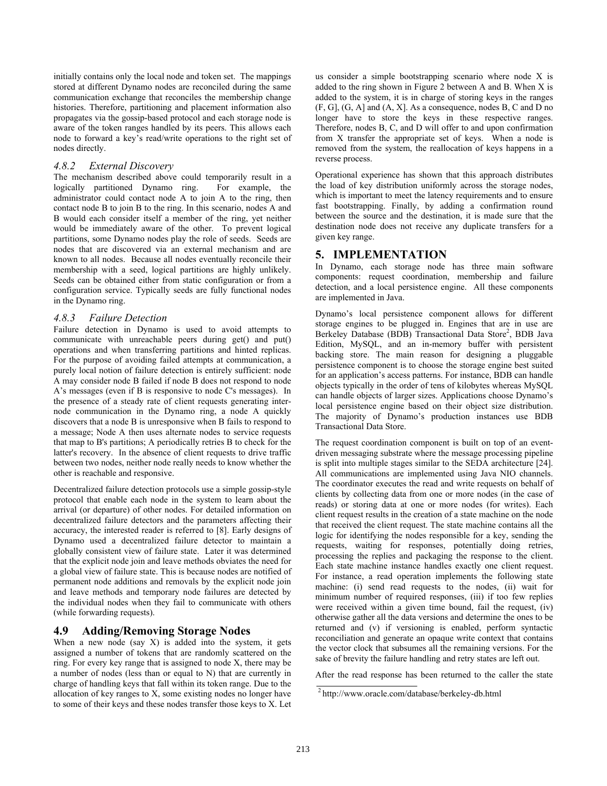initially contains only the local node and token set. The mappings stored at different Dynamo nodes are reconciled during the same communication exchange that reconciles the membership change histories. Therefore, partitioning and placement information also propagates via the gossip-based protocol and each storage node is aware of the token ranges handled by its peers. This allows each node to forward a key's read/write operations to the right set of nodes directly.

#### *4.8.2 External Discovery*

The mechanism described above could temporarily result in a logically partitioned Dynamo ring. For example, the administrator could contact node A to join A to the ring, then contact node B to join B to the ring. In this scenario, nodes A and B would each consider itself a member of the ring, yet neither would be immediately aware of the other. To prevent logical partitions, some Dynamo nodes play the role of seeds. Seeds are nodes that are discovered via an external mechanism and are known to all nodes. Because all nodes eventually reconcile their membership with a seed, logical partitions are highly unlikely. Seeds can be obtained either from static configuration or from a configuration service. Typically seeds are fully functional nodes in the Dynamo ring.

#### *4.8.3 Failure Detection*

Failure detection in Dynamo is used to avoid attempts to communicate with unreachable peers during get() and put() operations and when transferring partitions and hinted replicas. For the purpose of avoiding failed attempts at communication, a purely local notion of failure detection is entirely sufficient: node A may consider node B failed if node B does not respond to node A's messages (even if B is responsive to node C's messages). In the presence of a steady rate of client requests generating internode communication in the Dynamo ring, a node A quickly discovers that a node B is unresponsive when B fails to respond to a message; Node A then uses alternate nodes to service requests that map to B's partitions; A periodically retries B to check for the latter's recovery. In the absence of client requests to drive traffic between two nodes, neither node really needs to know whether the other is reachable and responsive.

Decentralized failure detection protocols use a simple gossip-style protocol that enable each node in the system to learn about the arrival (or departure) of other nodes. For detailed information on decentralized failure detectors and the parameters affecting their accuracy, the interested reader is referred to [8]. Early designs of Dynamo used a decentralized failure detector to maintain a globally consistent view of failure state. Later it was determined that the explicit node join and leave methods obviates the need for a global view of failure state. This is because nodes are notified of permanent node additions and removals by the explicit node join and leave methods and temporary node failures are detected by the individual nodes when they fail to communicate with others (while forwarding requests).

### **4.9 Adding/Removing Storage Nodes**

When a new node  $(say X)$  is added into the system, it gets assigned a number of tokens that are randomly scattered on the ring. For every key range that is assigned to node X, there may be a number of nodes (less than or equal to N) that are currently in charge of handling keys that fall within its token range. Due to the allocation of key ranges to X, some existing nodes no longer have to some of their keys and these nodes transfer those keys to X. Let

us consider a simple bootstrapping scenario where node X is added to the ring shown in Figure 2 between A and B. When X is added to the system, it is in charge of storing keys in the ranges (F, G], (G, A] and (A, X]. As a consequence, nodes B, C and D no longer have to store the keys in these respective ranges. Therefore, nodes B, C, and D will offer to and upon confirmation from X transfer the appropriate set of keys. When a node is removed from the system, the reallocation of keys happens in a reverse process.

Operational experience has shown that this approach distributes the load of key distribution uniformly across the storage nodes, which is important to meet the latency requirements and to ensure fast bootstrapping. Finally, by adding a confirmation round between the source and the destination, it is made sure that the destination node does not receive any duplicate transfers for a given key range.

### **5. IMPLEMENTATION**

In Dynamo, each storage node has three main software components: request coordination, membership and failure detection, and a local persistence engine. All these components are implemented in Java.

Dynamo's local persistence component allows for different storage engines to be plugged in. Engines that are in use are Berkeley Database (BDB) Transactional Data Store<sup>2</sup>, BDB Java Edition, MySQL, and an in-memory buffer with persistent backing store. The main reason for designing a pluggable persistence component is to choose the storage engine best suited for an application's access patterns. For instance, BDB can handle objects typically in the order of tens of kilobytes whereas MySQL can handle objects of larger sizes. Applications choose Dynamo's local persistence engine based on their object size distribution. The majority of Dynamo's production instances use BDB Transactional Data Store.

The request coordination component is built on top of an eventdriven messaging substrate where the message processing pipeline is split into multiple stages similar to the SEDA architecture [24]. All communications are implemented using Java NIO channels. The coordinator executes the read and write requests on behalf of clients by collecting data from one or more nodes (in the case of reads) or storing data at one or more nodes (for writes). Each client request results in the creation of a state machine on the node that received the client request. The state machine contains all the logic for identifying the nodes responsible for a key, sending the requests, waiting for responses, potentially doing retries, processing the replies and packaging the response to the client. Each state machine instance handles exactly one client request. For instance, a read operation implements the following state machine: (i) send read requests to the nodes, (ii) wait for minimum number of required responses, (iii) if too few replies were received within a given time bound, fail the request, (iv) otherwise gather all the data versions and determine the ones to be returned and (v) if versioning is enabled, perform syntactic reconciliation and generate an opaque write context that contains the vector clock that subsumes all the remaining versions. For the sake of brevity the failure handling and retry states are left out.

After the read response has been returned to the caller the state

<sup>2</sup> http://www.oracle.com/database/berkeley-db.html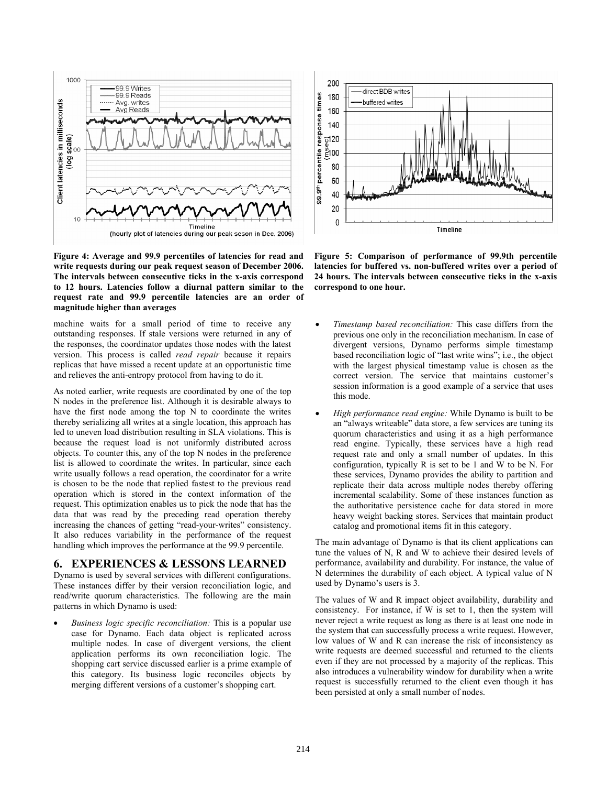

**Figure 4: Average and 99.9 percentiles of latencies for read and write requests during our peak request season of December 2006. The intervals between consecutive ticks in the x-axis correspond to 12 hours. Latencies follow a diurnal pattern similar to the request rate and 99.9 percentile latencies are an order of magnitude higher than averages** 

machine waits for a small period of time to receive any outstanding responses. If stale versions were returned in any of the responses, the coordinator updates those nodes with the latest version. This process is called *read repair* because it repairs replicas that have missed a recent update at an opportunistic time and relieves the anti-entropy protocol from having to do it.

As noted earlier, write requests are coordinated by one of the top N nodes in the preference list. Although it is desirable always to have the first node among the top N to coordinate the writes thereby serializing all writes at a single location, this approach has led to uneven load distribution resulting in SLA violations. This is because the request load is not uniformly distributed across objects. To counter this, any of the top N nodes in the preference list is allowed to coordinate the writes. In particular, since each write usually follows a read operation, the coordinator for a write is chosen to be the node that replied fastest to the previous read operation which is stored in the context information of the request. This optimization enables us to pick the node that has the data that was read by the preceding read operation thereby increasing the chances of getting "read-your-writes" consistency. It also reduces variability in the performance of the request handling which improves the performance at the 99.9 percentile.

### **6. EXPERIENCES & LESSONS LEARNED**

Dynamo is used by several services with different configurations. These instances differ by their version reconciliation logic, and read/write quorum characteristics. The following are the main patterns in which Dynamo is used:

• *Business logic specific reconciliation:* This is a popular use case for Dynamo. Each data object is replicated across multiple nodes. In case of divergent versions, the client application performs its own reconciliation logic. The shopping cart service discussed earlier is a prime example of this category. Its business logic reconciles objects by merging different versions of a customer's shopping cart.



**Figure 5: Comparison of performance of 99.9th percentile latencies for buffered vs. non-buffered writes over a period of 24 hours. The intervals between consecutive ticks in the x-axis correspond to one hour.** 

- *Timestamp based reconciliation:* This case differs from the previous one only in the reconciliation mechanism. In case of divergent versions, Dynamo performs simple timestamp based reconciliation logic of "last write wins"; i.e., the object with the largest physical timestamp value is chosen as the correct version. The service that maintains customer's session information is a good example of a service that uses this mode.
- *High performance read engine:* While Dynamo is built to be an "always writeable" data store, a few services are tuning its quorum characteristics and using it as a high performance read engine. Typically, these services have a high read request rate and only a small number of updates. In this configuration, typically R is set to be 1 and W to be N. For these services, Dynamo provides the ability to partition and replicate their data across multiple nodes thereby offering incremental scalability. Some of these instances function as the authoritative persistence cache for data stored in more heavy weight backing stores. Services that maintain product catalog and promotional items fit in this category.

The main advantage of Dynamo is that its client applications can tune the values of N, R and W to achieve their desired levels of performance, availability and durability. For instance, the value of N determines the durability of each object. A typical value of N used by Dynamo's users is 3.

The values of W and R impact object availability, durability and consistency. For instance, if W is set to 1, then the system will never reject a write request as long as there is at least one node in the system that can successfully process a write request. However, low values of W and R can increase the risk of inconsistency as write requests are deemed successful and returned to the clients even if they are not processed by a majority of the replicas. This also introduces a vulnerability window for durability when a write request is successfully returned to the client even though it has been persisted at only a small number of nodes.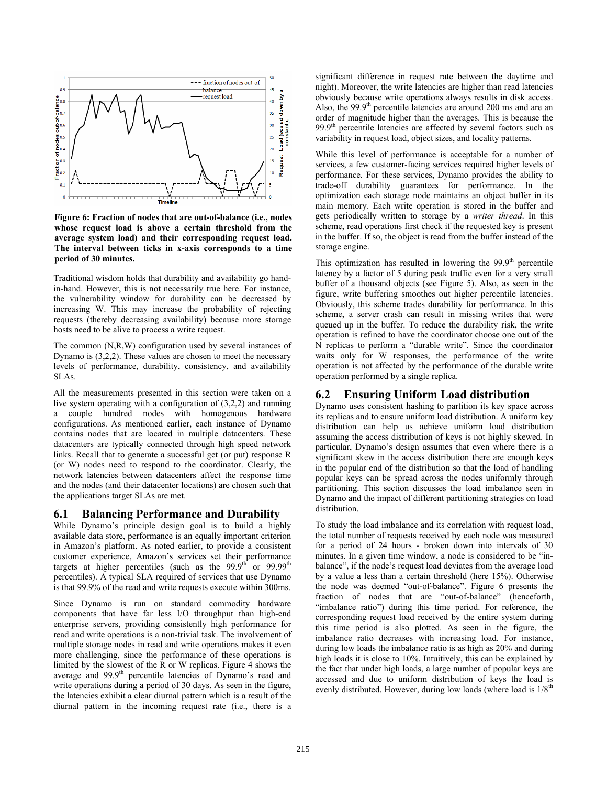

**Figure 6: Fraction of nodes that are out-of-balance (i.e., nodes whose request load is above a certain threshold from the average system load) and their corresponding request load. The interval between ticks in x-axis corresponds to a time period of 30 minutes.** 

Traditional wisdom holds that durability and availability go handin-hand. However, this is not necessarily true here. For instance, the vulnerability window for durability can be decreased by increasing W. This may increase the probability of rejecting requests (thereby decreasing availability) because more storage hosts need to be alive to process a write request.

The common (N,R,W) configuration used by several instances of Dynamo is (3,2,2). These values are chosen to meet the necessary levels of performance, durability, consistency, and availability SLAs.

All the measurements presented in this section were taken on a live system operating with a configuration of (3,2,2) and running a couple hundred nodes with homogenous hardware configurations. As mentioned earlier, each instance of Dynamo contains nodes that are located in multiple datacenters. These datacenters are typically connected through high speed network links. Recall that to generate a successful get (or put) response R (or W) nodes need to respond to the coordinator. Clearly, the network latencies between datacenters affect the response time and the nodes (and their datacenter locations) are chosen such that the applications target SLAs are met.

### **6.1 Balancing Performance and Durability**

While Dynamo's principle design goal is to build a highly available data store, performance is an equally important criterion in Amazon's platform. As noted earlier, to provide a consistent customer experience, Amazon's services set their performance targets at higher percentiles (such as the  $99.9^{th}$  or  $99.99^{th}$ percentiles). A typical SLA required of services that use Dynamo is that 99.9% of the read and write requests execute within 300ms.

Since Dynamo is run on standard commodity hardware components that have far less I/O throughput than high-end enterprise servers, providing consistently high performance for read and write operations is a non-trivial task. The involvement of multiple storage nodes in read and write operations makes it even more challenging, since the performance of these operations is limited by the slowest of the R or W replicas. Figure 4 shows the average and 99.9<sup>th</sup> percentile latencies of Dynamo's read and write operations during a period of 30 days. As seen in the figure, the latencies exhibit a clear diurnal pattern which is a result of the diurnal pattern in the incoming request rate (i.e., there is a

significant difference in request rate between the daytime and night). Moreover, the write latencies are higher than read latencies obviously because write operations always results in disk access. Also, the 99.9<sup>th</sup> percentile latencies are around 200 ms and are an order of magnitude higher than the averages. This is because the 99.9<sup>th</sup> percentile latencies are affected by several factors such as variability in request load, object sizes, and locality patterns.

While this level of performance is acceptable for a number of services, a few customer-facing services required higher levels of performance. For these services, Dynamo provides the ability to trade-off durability guarantees for performance. In the optimization each storage node maintains an object buffer in its main memory. Each write operation is stored in the buffer and gets periodically written to storage by a *writer thread*. In this scheme, read operations first check if the requested key is present in the buffer. If so, the object is read from the buffer instead of the storage engine.

This optimization has resulted in lowering the  $99.9<sup>th</sup>$  percentile latency by a factor of 5 during peak traffic even for a very small buffer of a thousand objects (see Figure 5). Also, as seen in the figure, write buffering smoothes out higher percentile latencies. Obviously, this scheme trades durability for performance. In this scheme, a server crash can result in missing writes that were queued up in the buffer. To reduce the durability risk, the write operation is refined to have the coordinator choose one out of the N replicas to perform a "durable write". Since the coordinator waits only for W responses, the performance of the write operation is not affected by the performance of the durable write operation performed by a single replica.

### **6.2 Ensuring Uniform Load distribution**

Dynamo uses consistent hashing to partition its key space across its replicas and to ensure uniform load distribution. A uniform key distribution can help us achieve uniform load distribution assuming the access distribution of keys is not highly skewed. In particular, Dynamo's design assumes that even where there is a significant skew in the access distribution there are enough keys in the popular end of the distribution so that the load of handling popular keys can be spread across the nodes uniformly through partitioning. This section discusses the load imbalance seen in Dynamo and the impact of different partitioning strategies on load distribution.

To study the load imbalance and its correlation with request load, the total number of requests received by each node was measured for a period of 24 hours - broken down into intervals of 30 minutes. In a given time window, a node is considered to be "inbalance", if the node's request load deviates from the average load by a value a less than a certain threshold (here 15%). Otherwise the node was deemed "out-of-balance". Figure 6 presents the fraction of nodes that are "out-of-balance" (henceforth, "imbalance ratio") during this time period. For reference, the corresponding request load received by the entire system during this time period is also plotted. As seen in the figure, the imbalance ratio decreases with increasing load. For instance, during low loads the imbalance ratio is as high as 20% and during high loads it is close to 10%. Intuitively, this can be explained by the fact that under high loads, a large number of popular keys are accessed and due to uniform distribution of keys the load is evenly distributed. However, during low loads (where load is  $1/8<sup>th</sup>$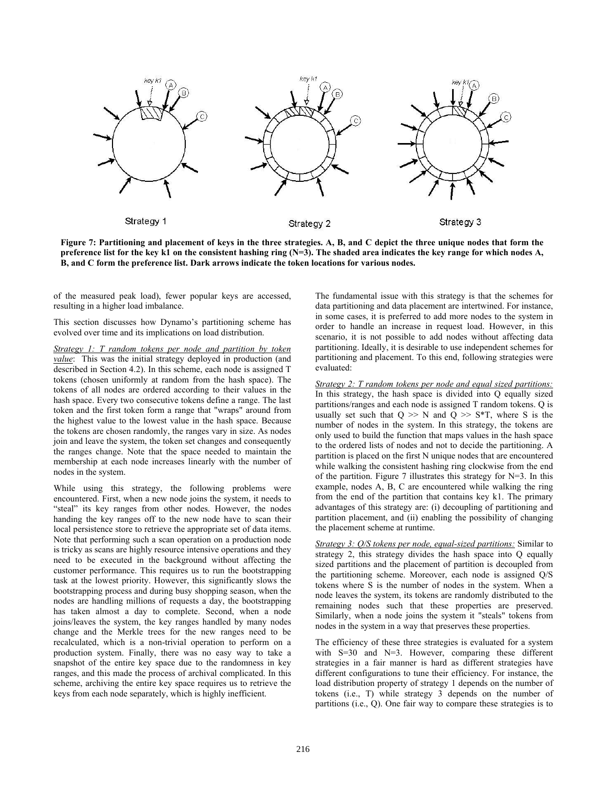

**Figure 7: Partitioning and placement of keys in the three strategies. A, B, and C depict the three unique nodes that form the preference list for the key k1 on the consistent hashing ring (N=3). The shaded area indicates the key range for which nodes A, B, and C form the preference list. Dark arrows indicate the token locations for various nodes.** 

of the measured peak load), fewer popular keys are accessed, resulting in a higher load imbalance.

This section discusses how Dynamo's partitioning scheme has evolved over time and its implications on load distribution.

*Strategy 1: T random tokens per node and partition by token value*: This was the initial strategy deployed in production (and described in Section 4.2). In this scheme, each node is assigned T tokens (chosen uniformly at random from the hash space). The tokens of all nodes are ordered according to their values in the hash space. Every two consecutive tokens define a range. The last token and the first token form a range that "wraps" around from the highest value to the lowest value in the hash space. Because the tokens are chosen randomly, the ranges vary in size. As nodes join and leave the system, the token set changes and consequently the ranges change. Note that the space needed to maintain the membership at each node increases linearly with the number of nodes in the system.

While using this strategy, the following problems were encountered. First, when a new node joins the system, it needs to "steal" its key ranges from other nodes. However, the nodes handing the key ranges off to the new node have to scan their local persistence store to retrieve the appropriate set of data items. Note that performing such a scan operation on a production node is tricky as scans are highly resource intensive operations and they need to be executed in the background without affecting the customer performance. This requires us to run the bootstrapping task at the lowest priority. However, this significantly slows the bootstrapping process and during busy shopping season, when the nodes are handling millions of requests a day, the bootstrapping has taken almost a day to complete. Second, when a node joins/leaves the system, the key ranges handled by many nodes change and the Merkle trees for the new ranges need to be recalculated, which is a non-trivial operation to perform on a production system. Finally, there was no easy way to take a snapshot of the entire key space due to the randomness in key ranges, and this made the process of archival complicated. In this scheme, archiving the entire key space requires us to retrieve the keys from each node separately, which is highly inefficient.

The fundamental issue with this strategy is that the schemes for data partitioning and data placement are intertwined. For instance, in some cases, it is preferred to add more nodes to the system in order to handle an increase in request load. However, in this scenario, it is not possible to add nodes without affecting data partitioning. Ideally, it is desirable to use independent schemes for partitioning and placement. To this end, following strategies were evaluated:

*Strategy 2: T random tokens per node and equal sized partitions:*  In this strategy, the hash space is divided into Q equally sized partitions/ranges and each node is assigned T random tokens. Q is usually set such that  $Q \gg N$  and  $\dot{Q} \gg S^*T$ , where S is the number of nodes in the system. In this strategy, the tokens are only used to build the function that maps values in the hash space to the ordered lists of nodes and not to decide the partitioning. A partition is placed on the first N unique nodes that are encountered while walking the consistent hashing ring clockwise from the end of the partition. Figure 7 illustrates this strategy for N=3. In this example, nodes A, B, C are encountered while walking the ring from the end of the partition that contains key k1. The primary advantages of this strategy are: (i) decoupling of partitioning and partition placement, and (ii) enabling the possibility of changing the placement scheme at runtime.

*Strategy 3: Q/S tokens per node, equal-sized partitions:* Similar to strategy 2, this strategy divides the hash space into Q equally sized partitions and the placement of partition is decoupled from the partitioning scheme. Moreover, each node is assigned Q/S tokens where S is the number of nodes in the system. When a node leaves the system, its tokens are randomly distributed to the remaining nodes such that these properties are preserved. Similarly, when a node joins the system it "steals" tokens from nodes in the system in a way that preserves these properties.

The efficiency of these three strategies is evaluated for a system with S=30 and N=3. However, comparing these different strategies in a fair manner is hard as different strategies have different configurations to tune their efficiency. For instance, the load distribution property of strategy 1 depends on the number of tokens (i.e., T) while strategy 3 depends on the number of partitions (i.e., Q). One fair way to compare these strategies is to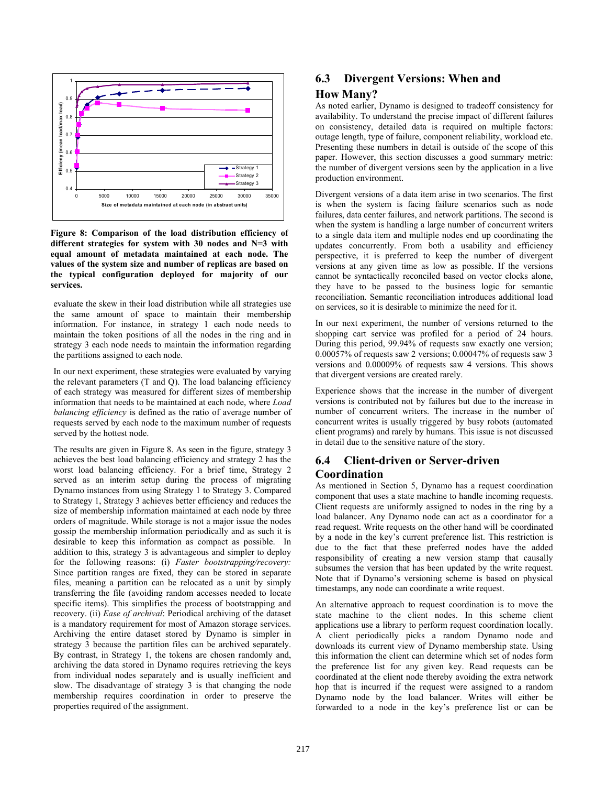

**Figure 8: Comparison of the load distribution efficiency of different strategies for system with 30 nodes and N=3 with equal amount of metadata maintained at each node. The values of the system size and number of replicas are based on the typical configuration deployed for majority of our services.** 

evaluate the skew in their load distribution while all strategies use the same amount of space to maintain their membership information. For instance, in strategy 1 each node needs to maintain the token positions of all the nodes in the ring and in strategy 3 each node needs to maintain the information regarding the partitions assigned to each node.

In our next experiment, these strategies were evaluated by varying the relevant parameters (T and Q). The load balancing efficiency of each strategy was measured for different sizes of membership information that needs to be maintained at each node, where *Load balancing efficiency* is defined as the ratio of average number of requests served by each node to the maximum number of requests served by the hottest node.

The results are given in Figure 8. As seen in the figure, strategy 3 achieves the best load balancing efficiency and strategy 2 has the worst load balancing efficiency. For a brief time, Strategy 2 served as an interim setup during the process of migrating Dynamo instances from using Strategy 1 to Strategy 3. Compared to Strategy 1, Strategy 3 achieves better efficiency and reduces the size of membership information maintained at each node by three orders of magnitude. While storage is not a major issue the nodes gossip the membership information periodically and as such it is desirable to keep this information as compact as possible. In addition to this, strategy 3 is advantageous and simpler to deploy for the following reasons: (i) *Faster bootstrapping/recovery:* Since partition ranges are fixed, they can be stored in separate files, meaning a partition can be relocated as a unit by simply transferring the file (avoiding random accesses needed to locate specific items). This simplifies the process of bootstrapping and recovery. (ii) *Ease of archival*: Periodical archiving of the dataset is a mandatory requirement for most of Amazon storage services. Archiving the entire dataset stored by Dynamo is simpler in strategy 3 because the partition files can be archived separately. By contrast, in Strategy 1, the tokens are chosen randomly and, archiving the data stored in Dynamo requires retrieving the keys from individual nodes separately and is usually inefficient and slow. The disadvantage of strategy 3 is that changing the node membership requires coordination in order to preserve the properties required of the assignment.

# **6.3 Divergent Versions: When and How Many?**

As noted earlier, Dynamo is designed to tradeoff consistency for availability. To understand the precise impact of different failures on consistency, detailed data is required on multiple factors: outage length, type of failure, component reliability, workload etc. Presenting these numbers in detail is outside of the scope of this paper. However, this section discusses a good summary metric: the number of divergent versions seen by the application in a live production environment.

Divergent versions of a data item arise in two scenarios. The first is when the system is facing failure scenarios such as node failures, data center failures, and network partitions. The second is when the system is handling a large number of concurrent writers to a single data item and multiple nodes end up coordinating the updates concurrently. From both a usability and efficiency perspective, it is preferred to keep the number of divergent versions at any given time as low as possible. If the versions cannot be syntactically reconciled based on vector clocks alone, they have to be passed to the business logic for semantic reconciliation. Semantic reconciliation introduces additional load on services, so it is desirable to minimize the need for it.

In our next experiment, the number of versions returned to the shopping cart service was profiled for a period of 24 hours. During this period, 99.94% of requests saw exactly one version; 0.00057% of requests saw 2 versions; 0.00047% of requests saw 3 versions and 0.00009% of requests saw 4 versions. This shows that divergent versions are created rarely.

Experience shows that the increase in the number of divergent versions is contributed not by failures but due to the increase in number of concurrent writers. The increase in the number of concurrent writes is usually triggered by busy robots (automated client programs) and rarely by humans. This issue is not discussed in detail due to the sensitive nature of the story.

# **6.4 Client-driven or Server-driven Coordination**

As mentioned in Section 5, Dynamo has a request coordination component that uses a state machine to handle incoming requests. Client requests are uniformly assigned to nodes in the ring by a load balancer. Any Dynamo node can act as a coordinator for a read request. Write requests on the other hand will be coordinated by a node in the key's current preference list. This restriction is due to the fact that these preferred nodes have the added responsibility of creating a new version stamp that causally subsumes the version that has been updated by the write request. Note that if Dynamo's versioning scheme is based on physical timestamps, any node can coordinate a write request.

An alternative approach to request coordination is to move the state machine to the client nodes. In this scheme client applications use a library to perform request coordination locally. A client periodically picks a random Dynamo node and downloads its current view of Dynamo membership state. Using this information the client can determine which set of nodes form the preference list for any given key. Read requests can be coordinated at the client node thereby avoiding the extra network hop that is incurred if the request were assigned to a random Dynamo node by the load balancer. Writes will either be forwarded to a node in the key's preference list or can be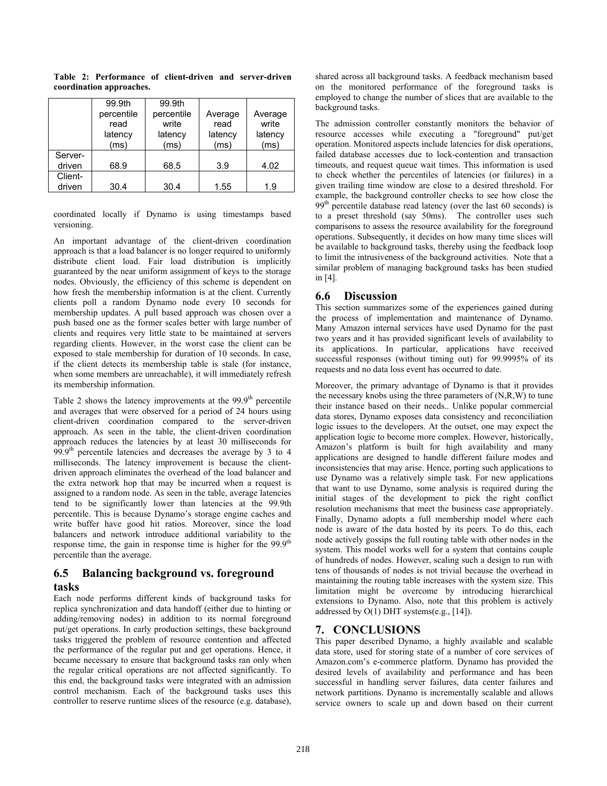|         | 99.9th     | 99.9th     |         |         |
|---------|------------|------------|---------|---------|
|         | percentile | percentile | Average | Average |
|         | read       | write      | read    | write   |
|         | latency    | latency    | latency | latency |
|         | (ms)       | (ms)       | (ms)    | (ms)    |
| Server- |            |            |         |         |
| driven  | 68.9       | 68.5       | 3.9     | 4.02    |
| Client- |            |            |         |         |
| driven  | 30.4       | 30.4       | 1.55    | 1.9     |

**Table 2: Performance of client-driven and server-driven coordination approaches.** 

coordinated locally if Dynamo is using timestamps based versioning.

An important advantage of the client-driven coordination approach is that a load balancer is no longer required to uniformly distribute client load. Fair load distribution is implicitly guaranteed by the near uniform assignment of keys to the storage nodes. Obviously, the efficiency of this scheme is dependent on how fresh the membership information is at the client. Currently clients poll a random Dynamo node every 10 seconds for membership updates. A pull based approach was chosen over a push based one as the former scales better with large number of clients and requires very little state to be maintained at servers regarding clients. However, in the worst case the client can be exposed to stale membership for duration of 10 seconds. In case, if the client detects its membership table is stale (for instance, when some members are unreachable), it will immediately refresh its membership information.

Table 2 shows the latency improvements at the  $99.9<sup>th</sup>$  percentile and averages that were observed for a period of 24 hours using client-driven coordination compared to the server-driven approach. As seen in the table, the client-driven coordination approach reduces the latencies by at least 30 milliseconds for  $99.9<sup>th</sup>$  percentile latencies and decreases the average by 3 to 4 milliseconds. The latency improvement is because the clientdriven approach eliminates the overhead of the load balancer and the extra network hop that may be incurred when a request is assigned to a random node. As seen in the table, average latencies tend to be significantly lower than latencies at the 99.9th percentile. This is because Dynamo's storage engine caches and write buffer have good hit ratios. Moreover, since the load balancers and network introduce additional variability to the response time, the gain in response time is higher for the 99.9<sup>th</sup> percentile than the average.

### **6.5 Balancing background vs. foreground tasks**

Each node performs different kinds of background tasks for replica synchronization and data handoff (either due to hinting or adding/removing nodes) in addition to its normal foreground put/get operations. In early production settings, these background tasks triggered the problem of resource contention and affected the performance of the regular put and get operations. Hence, it became necessary to ensure that background tasks ran only when the regular critical operations are not affected significantly. To this end, the background tasks were integrated with an admission control mechanism. Each of the background tasks uses this controller to reserve runtime slices of the resource (e.g. database), shared across all background tasks. A feedback mechanism based on the monitored performance of the foreground tasks is employed to change the number of slices that are available to the background tasks.

The admission controller constantly monitors the behavior of resource accesses while executing a "foreground" put/get operation. Monitored aspects include latencies for disk operations, failed database accesses due to lock-contention and transaction timeouts, and request queue wait times. This information is used to check whether the percentiles of latencies (or failures) in a given trailing time window are close to a desired threshold. For example, the background controller checks to see how close the  $99<sup>th</sup>$  percentile database read latency (over the last 60 seconds) is to a preset threshold (say 50ms). The controller uses such comparisons to assess the resource availability for the foreground operations. Subsequently, it decides on how many time slices will be available to background tasks, thereby using the feedback loop to limit the intrusiveness of the background activities. Note that a similar problem of managing background tasks has been studied in [4].

### **6.6 Discussion**

This section summarizes some of the experiences gained during the process of implementation and maintenance of Dynamo. Many Amazon internal services have used Dynamo for the past two years and it has provided significant levels of availability to its applications. In particular, applications have received successful responses (without timing out) for 99.9995% of its requests and no data loss event has occurred to date.

Moreover, the primary advantage of Dynamo is that it provides the necessary knobs using the three parameters of (N,R,W) to tune their instance based on their needs.. Unlike popular commercial data stores, Dynamo exposes data consistency and reconciliation logic issues to the developers. At the outset, one may expect the application logic to become more complex. However, historically, Amazon's platform is built for high availability and many applications are designed to handle different failure modes and inconsistencies that may arise. Hence, porting such applications to use Dynamo was a relatively simple task. For new applications that want to use Dynamo, some analysis is required during the initial stages of the development to pick the right conflict resolution mechanisms that meet the business case appropriately. Finally, Dynamo adopts a full membership model where each node is aware of the data hosted by its peers. To do this, each node actively gossips the full routing table with other nodes in the system. This model works well for a system that contains couple of hundreds of nodes. However, scaling such a design to run with tens of thousands of nodes is not trivial because the overhead in maintaining the routing table increases with the system size. This limitation might be overcome by introducing hierarchical extensions to Dynamo. Also, note that this problem is actively addressed by  $O(1)$  DHT systems(e.g., [14]).

# **7. CONCLUSIONS**

This paper described Dynamo, a highly available and scalable data store, used for storing state of a number of core services of Amazon.com's e-commerce platform. Dynamo has provided the desired levels of availability and performance and has been successful in handling server failures, data center failures and network partitions. Dynamo is incrementally scalable and allows service owners to scale up and down based on their current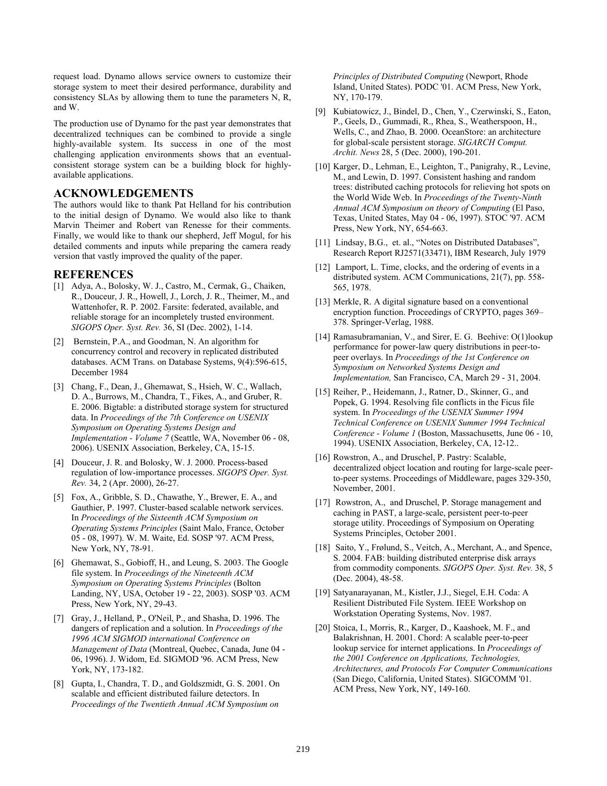request load. Dynamo allows service owners to customize their storage system to meet their desired performance, durability and consistency SLAs by allowing them to tune the parameters N, R, and W.

The production use of Dynamo for the past year demonstrates that decentralized techniques can be combined to provide a single highly-available system. Its success in one of the most challenging application environments shows that an eventualconsistent storage system can be a building block for highlyavailable applications.

#### **ACKNOWLEDGEMENTS**

The authors would like to thank Pat Helland for his contribution to the initial design of Dynamo. We would also like to thank Marvin Theimer and Robert van Renesse for their comments. Finally, we would like to thank our shepherd, Jeff Mogul, for his detailed comments and inputs while preparing the camera ready version that vastly improved the quality of the paper.

#### **REFERENCES**

- [1] Adya, A., Bolosky, W. J., Castro, M., Cermak, G., Chaiken, R., Douceur, J. R., Howell, J., Lorch, J. R., Theimer, M., and Wattenhofer, R. P. 2002. Farsite: federated, available, and reliable storage for an incompletely trusted environment. *SIGOPS Oper. Syst. Rev.* 36, SI (Dec. 2002), 1-14.
- [2] Bernstein, P.A., and Goodman, N. An algorithm for concurrency control and recovery in replicated distributed databases. ACM Trans. on Database Systems, 9(4):596-615, December 1984
- [3] Chang, F., Dean, J., Ghemawat, S., Hsieh, W. C., Wallach, D. A., Burrows, M., Chandra, T., Fikes, A., and Gruber, R. E. 2006. Bigtable: a distributed storage system for structured data. In *Proceedings of the 7th Conference on USENIX Symposium on Operating Systems Design and Implementation - Volume 7* (Seattle, WA, November 06 - 08, 2006). USENIX Association, Berkeley, CA, 15-15.
- [4] Douceur, J. R. and Bolosky, W. J. 2000. Process-based regulation of low-importance processes. *SIGOPS Oper. Syst. Rev.* 34, 2 (Apr. 2000), 26-27.
- [5] Fox, A., Gribble, S. D., Chawathe, Y., Brewer, E. A., and Gauthier, P. 1997. Cluster-based scalable network services. In *Proceedings of the Sixteenth ACM Symposium on Operating Systems Principles* (Saint Malo, France, October 05 - 08, 1997). W. M. Waite, Ed. SOSP '97. ACM Press, New York, NY, 78-91.
- [6] Ghemawat, S., Gobioff, H., and Leung, S. 2003. The Google file system. In *Proceedings of the Nineteenth ACM Symposium on Operating Systems Principles* (Bolton Landing, NY, USA, October 19 - 22, 2003). SOSP '03. ACM Press, New York, NY, 29-43.
- [7] Gray, J., Helland, P., O'Neil, P., and Shasha, D. 1996. The dangers of replication and a solution. In *Proceedings of the 1996 ACM SIGMOD international Conference on Management of Data* (Montreal, Quebec, Canada, June 04 - 06, 1996). J. Widom, Ed. SIGMOD '96. ACM Press, New York, NY, 173-182.
- [8] Gupta, I., Chandra, T. D., and Goldszmidt, G. S. 2001. On scalable and efficient distributed failure detectors. In *Proceedings of the Twentieth Annual ACM Symposium on*

*Principles of Distributed Computing* (Newport, Rhode Island, United States). PODC '01. ACM Press, New York, NY, 170-179.

- [9] Kubiatowicz, J., Bindel, D., Chen, Y., Czerwinski, S., Eaton, P., Geels, D., Gummadi, R., Rhea, S., Weatherspoon, H., Wells, C., and Zhao, B. 2000. OceanStore: an architecture for global-scale persistent storage. *SIGARCH Comput. Archit. News* 28, 5 (Dec. 2000), 190-201.
- [10] Karger, D., Lehman, E., Leighton, T., Panigrahy, R., Levine, M., and Lewin, D. 1997. Consistent hashing and random trees: distributed caching protocols for relieving hot spots on the World Wide Web. In *Proceedings of the Twenty-Ninth Annual ACM Symposium on theory of Computing* (El Paso, Texas, United States, May 04 - 06, 1997). STOC '97. ACM Press, New York, NY, 654-663.
- [11] Lindsay, B.G., et. al., "Notes on Distributed Databases", Research Report RJ2571(33471), IBM Research, July 1979
- [12] Lamport, L. Time, clocks, and the ordering of events in a distributed system. ACM Communications, 21(7), pp. 558- 565, 1978.
- [13] Merkle, R. A digital signature based on a conventional encryption function. Proceedings of CRYPTO, pages 369– 378. Springer-Verlag, 1988.
- [14] Ramasubramanian, V., and Sirer, E. G. Beehive: O(1)lookup performance for power-law query distributions in peer-topeer overlays. In *Proceedings of the 1st Conference on Symposium on Networked Systems Design and Implementation,* San Francisco, CA, March 29 - 31, 2004.
- [15] Reiher, P., Heidemann, J., Ratner, D., Skinner, G., and Popek, G. 1994. Resolving file conflicts in the Ficus file system. In *Proceedings of the USENIX Summer 1994 Technical Conference on USENIX Summer 1994 Technical Conference - Volume 1* (Boston, Massachusetts, June 06 - 10, 1994). USENIX Association, Berkeley, CA, 12-12..
- [16] Rowstron, A., and Druschel, P. Pastry: Scalable, decentralized object location and routing for large-scale peerto-peer systems. Proceedings of Middleware, pages 329-350, November, 2001.
- [17] Rowstron, A., and Druschel, P. Storage management and caching in PAST, a large-scale, persistent peer-to-peer storage utility. Proceedings of Symposium on Operating Systems Principles, October 2001.
- [18] Saito, Y., Frølund, S., Veitch, A., Merchant, A., and Spence, S. 2004. FAB: building distributed enterprise disk arrays from commodity components. *SIGOPS Oper. Syst. Rev.* 38, 5 (Dec. 2004), 48-58.
- [19] Satyanarayanan, M., Kistler, J.J., Siegel, E.H. Coda: A Resilient Distributed File System. IEEE Workshop on Workstation Operating Systems, Nov. 1987.
- [20] Stoica, I., Morris, R., Karger, D., Kaashoek, M. F., and Balakrishnan, H. 2001. Chord: A scalable peer-to-peer lookup service for internet applications. In *Proceedings of the 2001 Conference on Applications, Technologies, Architectures, and Protocols For Computer Communications* (San Diego, California, United States). SIGCOMM '01. ACM Press, New York, NY, 149-160.